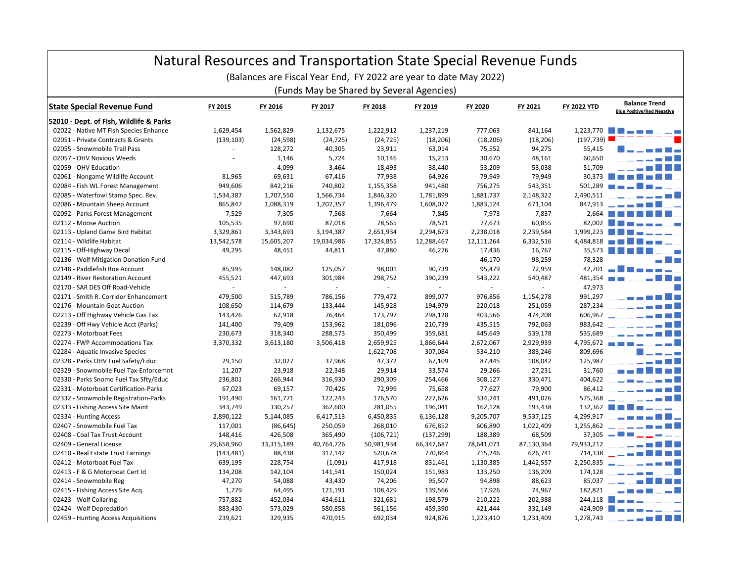| Natural Resources and Transportation State Special Revenue Funds<br>(Balances are Fiscal Year End, FY 2022 are year to date May 2022)<br>(Funds May be Shared by Several Agencies) |              |            |            |            |            |              |            |            |               |
|------------------------------------------------------------------------------------------------------------------------------------------------------------------------------------|--------------|------------|------------|------------|------------|--------------|------------|------------|---------------|
|                                                                                                                                                                                    |              |            |            |            |            |              |            |            |               |
| 52010 - Dept. of Fish, Wildlife & Parks                                                                                                                                            |              |            |            |            |            |              |            |            |               |
| 02022 - Native MT Fish Species Enhance                                                                                                                                             | 1,629,454    | 1,562,829  | 1,132,675  | 1,222,912  | 1,237,219  | 777,063      | 841,164    | 1,223,770  |               |
| 02051 - Private Contracts & Grants                                                                                                                                                 | (139, 103)   | (24, 598)  | (24, 725)  | (24, 725)  | (18, 206)  | (18, 206)    | (18, 206)  | (197, 739) |               |
| 02055 - Snowmobile Trail Pass                                                                                                                                                      | $\mathbf{r}$ | 128,272    | 40,305     | 23,911     | 63,014     | 75,552       | 94,275     | 55,415     |               |
| 02057 - OHV Noxious Weeds                                                                                                                                                          | $\sim$       | 1,146      | 5,724      | 10,146     | 15,213     | 30,670       | 48,161     | 60,650     |               |
| 02059 - OHV Education                                                                                                                                                              |              | 4,099      | 3,464      | 18,493     | 38,440     | 53,209       | 53,038     | 51,709     |               |
| 02061 - Nongame Wildlife Account                                                                                                                                                   | 81,965       | 69,631     | 67,416     | 77,938     | 64,926     | 79,949       | 79,949     | 30,373     |               |
| 02084 - Fish WL Forest Management                                                                                                                                                  | 949,606      | 842,216    | 740,802    | 1,155,358  | 941,480    | 756,275      | 543,351    | 501,289    |               |
| 02085 - Waterfowl Stamp Spec. Rev.                                                                                                                                                 | 1,534,387    | 1,707,550  | 1,566,734  | 1,846,320  | 1,781,899  | 1,881,737    | 2,148,322  | 2,490,511  |               |
| 02086 - Mountain Sheep Account                                                                                                                                                     | 865,847      | 1,088,319  | 1,202,357  | 1,396,479  | 1,608,072  | 1,883,124    | 671,104    | 847,913    |               |
| 02092 - Parks Forest Management                                                                                                                                                    | 7,529        | 7,305      | 7,568      | 7,664      | 7,845      | 7,973        | 7,837      | 2,664      |               |
| 02112 - Moose Auction                                                                                                                                                              | 105,535      | 97,690     | 87,018     | 78,565     | 78,521     | 77,673       | 60,855     | 82,002     |               |
| 02113 - Upland Game Bird Habitat                                                                                                                                                   | 3,329,861    | 3,343,693  | 3,194,387  | 2,651,934  | 2,294,673  | 2,238,018    | 2,239,584  | 1,999,223  |               |
| 02114 - Wildlife Habitat                                                                                                                                                           | 13,542,578   | 15,605,207 | 19,034,986 | 17,324,855 | 12,288,467 | 12,111,264   | 6,332,516  | 4,484,818  |               |
| 02115 - Off-Highway Decal                                                                                                                                                          | 49,295       | 48,451     | 44,811     | 47,880     | 46,276     | 17,436       | 16,767     | 35,573     |               |
| 02136 - Wolf Mitigation Donation Fund                                                                                                                                              | $\mathbf{r}$ |            | ×.         |            |            | 46,170       | 98,259     | 78,328     |               |
| 02148 - Paddlefish Roe Account                                                                                                                                                     | 85,995       | 148,082    | 125,057    | 98,001     | 90,739     | 95,479       | 72,959     | 42,701     |               |
| 02149 - River Restoration Account                                                                                                                                                  | 455,521      | 447,693    | 301,984    | 298,752    | 390,239    | 543,222      | 540,487    | 481,354    |               |
| 02170 - SAR DES Off Road-Vehicle                                                                                                                                                   | $\omega$     | ×.         | $\sim$     | $\omega$   | ÷          | $\mathbf{r}$ | L.         | 47,973     |               |
| 02171 - Smith R. Corridor Enhancement                                                                                                                                              | 479,500      | 515,789    | 786,156    | 779,472    | 899,077    | 976,856      | 1,154,278  | 991,297    |               |
| 02176 - Mountain Goat Auction                                                                                                                                                      | 108,650      | 114,679    | 133,444    | 145,928    | 194,979    | 220,018      | 251,059    | 287,234    |               |
| 02213 - Off Highway Vehicle Gas Tax                                                                                                                                                | 143,426      | 62,918     | 76,464     | 173,797    | 298,128    | 403,566      | 474,208    | 606,967    |               |
| 02239 - Off Hwy Vehicle Acct (Parks)                                                                                                                                               | 141,400      | 79,409     | 153,962    | 181,096    | 210,739    | 435,515      | 792,063    | 983,642    |               |
| 02273 - Motorboat Fees                                                                                                                                                             | 230,673      | 318,340    | 288,573    | 350,499    | 359,681    | 445,649      | 539,178    | 535,689    |               |
| 02274 - FWP Accommodations Tax                                                                                                                                                     | 3,370,332    | 3,613,180  | 3,506,418  | 2,659,925  | 1,866,644  | 2,672,067    | 2,929,939  | 4,795,672  |               |
| 02284 - Aquatic Invasive Species                                                                                                                                                   | ÷.           |            | $\sim$     | 1,622,708  | 307,084    | 534,210      | 383,246    | 809,696    |               |
| 02328 - Parks OHV Fuel Safety/Educ                                                                                                                                                 | 29,150       | 32,027     | 37,968     | 47,372     | 67,109     | 87,445       | 108,042    | 125,987    |               |
| 02329 - Snowmobile Fuel Tax-Enforcemnt                                                                                                                                             | 11,207       | 23,918     | 22,348     | 29,914     | 33,574     | 29,266       | 27,231     | 31,760     |               |
| 02330 - Parks Snomo Fuel Tax Sfty/Educ                                                                                                                                             | 236,801      | 266,944    | 316,930    | 290,309    | 254,466    | 308,127      | 330,471    | 404,622    |               |
| 02331 - Motorboat Certification-Parks                                                                                                                                              | 67,023       | 69,157     | 70,426     | 72,999     | 75,658     | 77,627       | 79,900     | 86,412     |               |
| 02332 - Snowmobile Registration-Parks                                                                                                                                              | 191,490      | 161,771    | 122,243    | 176,570    | 227,626    | 334,741      | 491,026    | 575,368    |               |
| 02333 - Fishing Access Site Maint                                                                                                                                                  | 343,749      | 330,257    | 362,600    | 281,055    | 196,041    | 162,128      | 193,438    | 132,362    |               |
| 02334 - Hunting Access                                                                                                                                                             | 2,890,122    | 5,144,085  | 6,417,513  | 6,450,835  | 6,136,128  | 9,205,707    | 9,537,125  | 4,299,917  |               |
| 02407 - Snowmobile Fuel Tax                                                                                                                                                        | 117,001      | (86, 645)  | 250,059    | 268,010    | 676,852    | 606,890      | 1,022,409  | 1,255,862  |               |
| 02408 - Coal Tax Trust Account                                                                                                                                                     | 148,416      | 426,508    | 365,490    | (106, 721) | (137, 299) | 188,389      | 68,509     | 37,305     |               |
| 02409 - General License                                                                                                                                                            | 29,658,960   | 33,315,189 | 40,764,726 | 50,981,934 | 66,347,687 | 78,641,071   | 87,130,364 | 79,933,212 |               |
| 02410 - Real Estate Trust Earnings                                                                                                                                                 | (143, 481)   | 88,438     | 317,142    | 520,678    | 770,864    | 715,246      | 626,741    | 714,338    | $\sim$ $   -$ |
| 02412 - Motorboat Fuel Tax                                                                                                                                                         | 639,195      | 228,754    | (1,091)    | 417,918    | 831,461    | 1,130,385    | 1,442,557  | 2,250,835  |               |
| 02413 - F & G Motorboat Cert Id                                                                                                                                                    | 134,208      | 142,104    | 141,541    | 150,024    | 151,983    | 133,250      | 136,209    | 174,128    |               |
| 02414 - Snowmobile Reg                                                                                                                                                             | 47,270       | 54,088     | 43,430     | 74,206     | 95,507     | 94,898       | 88,623     | 85,037     |               |
| 02415 - Fishing Access Site Acq.                                                                                                                                                   | 1,779        | 64,495     | 121,191    | 108,429    | 139,566    | 17,926       | 74,967     | 182,821    |               |
| 02423 - Wolf Collaring                                                                                                                                                             | 757,882      | 452,034    | 434,611    | 321,681    | 198,579    | 210,222      | 202,388    | 244,118    |               |
| 02424 - Wolf Depredation                                                                                                                                                           | 883,430      | 573,029    | 580,858    | 561,156    | 459,390    | 421,444      | 332,149    | 424,909    |               |
| 02459 - Hunting Access Acquisitions                                                                                                                                                | 239,621      | 329,935    | 470,915    | 692,034    | 924,876    | 1,223,410    | 1,231,409  | 1,278,743  |               |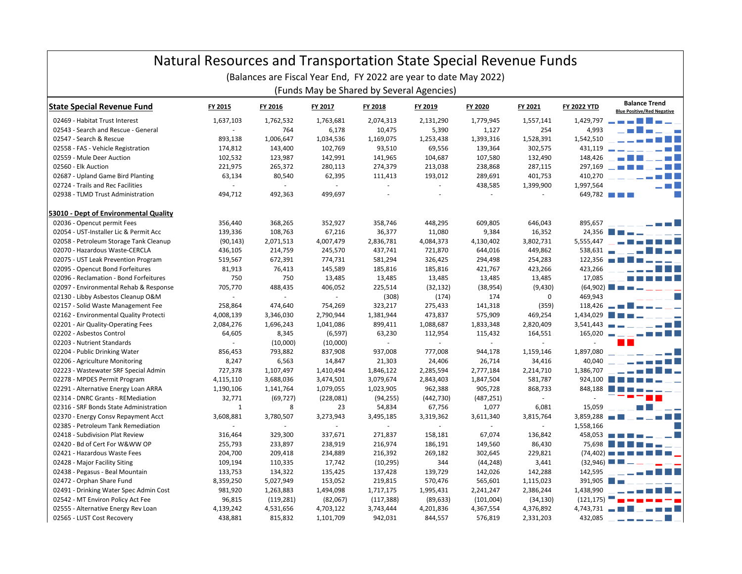| Natural Resources and Transportation State Special Revenue Funds |           |            |           |            |                                                                   |                |           |                    |                                                           |  |
|------------------------------------------------------------------|-----------|------------|-----------|------------|-------------------------------------------------------------------|----------------|-----------|--------------------|-----------------------------------------------------------|--|
|                                                                  |           |            |           |            | (Balances are Fiscal Year End, FY 2022 are year to date May 2022) |                |           |                    |                                                           |  |
| (Funds May be Shared by Several Agencies)                        |           |            |           |            |                                                                   |                |           |                    |                                                           |  |
| <b>State Special Revenue Fund</b>                                | FY 2015   | FY 2016    | FY 2017   | FY 2018    | FY 2019                                                           | FY 2020        | FY 2021   | <b>FY 2022 YTD</b> | <b>Balance Trend</b><br><b>Blue Positive/Red Negative</b> |  |
| 02469 - Habitat Trust Interest                                   | 1,637,103 | 1,762,532  | 1,763,681 | 2,074,313  | 2,131,290                                                         | 1,779,945      | 1,557,141 | 1,429,797          |                                                           |  |
| 02543 - Search and Rescue - General                              |           | 764        | 6,178     | 10,475     | 5,390                                                             | 1,127          | 254       | 4,993              |                                                           |  |
| 02547 - Search & Rescue                                          | 893,138   | 1,006,647  | 1,034,536 | 1,169,075  | 1,253,438                                                         | 1,393,316      | 1,528,391 | 1,542,510          |                                                           |  |
| 02558 - FAS - Vehicle Registration                               | 174,812   | 143,400    | 102,769   | 93,510     | 69,556                                                            | 139,364        | 302,575   | 431,119            |                                                           |  |
| 02559 - Mule Deer Auction                                        | 102,532   | 123,987    | 142,991   | 141,965    | 104,687                                                           | 107,580        | 132,490   | 148,426            |                                                           |  |
| 02560 - Elk Auction                                              | 221,975   | 265,372    | 280,113   | 274,379    | 213,038                                                           | 238,868        | 287,115   | 297,169            |                                                           |  |
| 02687 - Upland Game Bird Planting                                | 63,134    | 80,540     | 62,395    | 111,413    | 193,012                                                           | 289,691        | 401,753   | 410,270            |                                                           |  |
| 02724 - Trails and Rec Facilities                                |           |            | ×.        |            |                                                                   | 438,585        | 1,399,900 | 1,997,564          | . m L                                                     |  |
| 02938 - TLMD Trust Administration                                | 494,712   | 492,363    | 499,697   |            |                                                                   |                |           | 649,782            |                                                           |  |
| 53010 - Dept of Environmental Quality                            |           |            |           |            |                                                                   |                |           |                    |                                                           |  |
| 02036 - Opencut permit Fees                                      | 356,440   | 368,265    | 352,927   | 358,746    | 448,295                                                           | 609,805        | 646,043   | 895,657            |                                                           |  |
| 02054 - UST-Installer Lic & Permit Acc                           | 139,336   | 108,763    | 67,216    | 36,377     | 11,080                                                            | 9,384          | 16,352    | 24,356             |                                                           |  |
| 02058 - Petroleum Storage Tank Cleanup                           | (90, 143) | 2,071,513  | 4,007,479 | 2,836,781  | 4,084,373                                                         | 4,130,402      | 3,802,731 | 5,555,447          |                                                           |  |
| 02070 - Hazardous Waste-CERCLA                                   | 436,105   | 214,759    | 245,570   | 437,741    | 721,870                                                           | 644,016        | 449,862   | 538,631            |                                                           |  |
| 02075 - UST Leak Prevention Program                              | 519,567   | 672,391    | 774,731   | 581,294    | 326,425                                                           | 294,498        | 254,283   | 122.356            |                                                           |  |
| 02095 - Opencut Bond Forfeitures                                 | 81,913    | 76,413     | 145,589   | 185,816    | 185,816                                                           | 421,767        | 423,266   | 423,266            |                                                           |  |
| 02096 - Reclamation - Bond Forfeitures                           | 750       | 750        | 13,485    | 13,485     | 13,485                                                            | 13,485         | 13,485    | 17,085             |                                                           |  |
| 02097 - Environmental Rehab & Response                           | 705,770   | 488,435    | 406,052   | 225,514    | (32, 132)                                                         | (38, 954)      | (9,430)   | (64,902)           |                                                           |  |
| 02130 - Libby Asbestos Cleanup O&M                               |           |            | $\sim$    | (308)      | (174)                                                             | 174            | 0         | 469,943            |                                                           |  |
| 02157 - Solid Waste Management Fee                               | 258,864   | 474,640    | 754,269   | 323,217    | 275,433                                                           | 141,318        | (359)     | 118,426            |                                                           |  |
| 02162 - Environmental Quality Protecti                           | 4,008,139 | 3,346,030  | 2,790,944 | 1,381,944  | 473,837                                                           | 575,909        | 469,254   | 1,434,029          |                                                           |  |
| 02201 - Air Quality-Operating Fees                               | 2,084,276 | 1,696,243  | 1,041,086 | 899,411    | 1,088,687                                                         | 1,833,348      | 2,820,409 | 3,541,443          |                                                           |  |
| 02202 - Asbestos Control                                         | 64,605    | 8,345      | (6, 597)  | 63,230     | 112,954                                                           | 115,432        | 164,551   | 165,020            |                                                           |  |
| 02203 - Nutrient Standards                                       | $\sim$    | (10,000)   | (10,000)  | $\omega$   |                                                                   | $\blacksquare$ | ÷.        |                    |                                                           |  |
| 02204 - Public Drinking Water                                    | 856,453   | 793,882    | 837,908   | 937,008    | 777,008                                                           | 944,178        | 1,159,146 | 1,897,080          |                                                           |  |
| 02206 - Agriculture Monitoring                                   | 8,247     | 6,563      | 14,847    | 21,303     | 24,406                                                            | 26,714         | 34,416    | 40,040             |                                                           |  |
| 02223 - Wastewater SRF Special Admin                             | 727,378   | 1,107,497  | 1,410,494 | 1,846,122  | 2,285,594                                                         | 2,777,184      | 2,214,710 | 1,386,707          |                                                           |  |
| 02278 - MPDES Permit Program                                     | 4,115,110 | 3,688,036  | 3,474,501 | 3,079,674  | 2,843,403                                                         | 1,847,504      | 581,787   | 924,100            |                                                           |  |
| 02291 - Alternative Energy Loan ARRA                             | 1,190,106 | 1,141,764  | 1,079,055 | 1,023,905  | 962,388                                                           | 905,728        | 868,733   | 848,188            |                                                           |  |
| 02314 - DNRC Grants - REMediation                                | 32,771    | (69, 727)  | (228,081) | (94, 255)  | (442, 730)                                                        | (487, 251)     |           |                    |                                                           |  |
| 02316 - SRF Bonds State Administration                           | $1\,$     | 8          | 23        | 54,834     | 67,756                                                            | 1,077          | 6,081     | 15,059             |                                                           |  |
| 02370 - Energy Consy Repayment Acct                              | 3,608,881 | 3,780,507  | 3,273,943 | 3,495,185  | 3,319,362                                                         | 3,611,340      | 3,815,764 | 3,859,288          |                                                           |  |
| 02385 - Petroleum Tank Remediation                               |           |            |           |            |                                                                   |                | ÷.        | 1,558,166          |                                                           |  |
| 02418 - Subdivision Plat Review                                  | 316,464   | 329,300    | 337,671   | 271,837    | 158,181                                                           | 67,074         | 136,842   | 458,053            |                                                           |  |
| 02420 - Bd of Cert For W&WW OP                                   | 255,793   | 233,897    | 238,919   | 216,974    | 186,191                                                           | 149,560        | 86,430    | 75.698             |                                                           |  |
| 02421 - Hazardous Waste Fees                                     | 204,700   | 209,418    | 234,889   | 216,392    | 269,182                                                           | 302,645        | 229,821   | (74.402)           |                                                           |  |
| 02428 - Major Facility Siting                                    | 109,194   | 110,335    | 17,742    | (10, 295)  | 344                                                               | (44, 248)      | 3,441     | (32.946)           |                                                           |  |
| 02438 - Pegasus - Beal Mountain                                  | 133,753   | 134,322    | 135,425   | 137,428    | 139,729                                                           | 142,026        | 142,288   | 142,595            |                                                           |  |
| 02472 - Orphan Share Fund                                        | 8,359,250 | 5,027,949  | 153,052   | 219,815    | 570,476                                                           | 565,601        | 1,115,023 | 391,905            |                                                           |  |
| 02491 - Drinking Water Spec Admin Cost                           | 981,920   | 1,263,883  | 1,494,098 | 1,717,175  | 1,995,431                                                         | 2,241,247      | 2,386,244 | 1,438,990          |                                                           |  |
| 02542 - MT Environ Policy Act Fee                                | 96,815    | (119, 281) | (82,067)  | (117, 388) | (89, 633)                                                         | (101,004)      | (34, 130) | (121, 175)         |                                                           |  |
| 02555 - Alternative Energy Rev Loan                              | 4,139,242 | 4,531,656  | 4,703,122 | 3,743,444  | 4,201,836                                                         | 4,367,554      | 4,376,892 | 4,743,731          |                                                           |  |
| 02565 - LUST Cost Recovery                                       | 438,881   | 815,832    | 1,101,709 | 942,031    | 844,557                                                           | 576,819        | 2,331,203 | 432,085            |                                                           |  |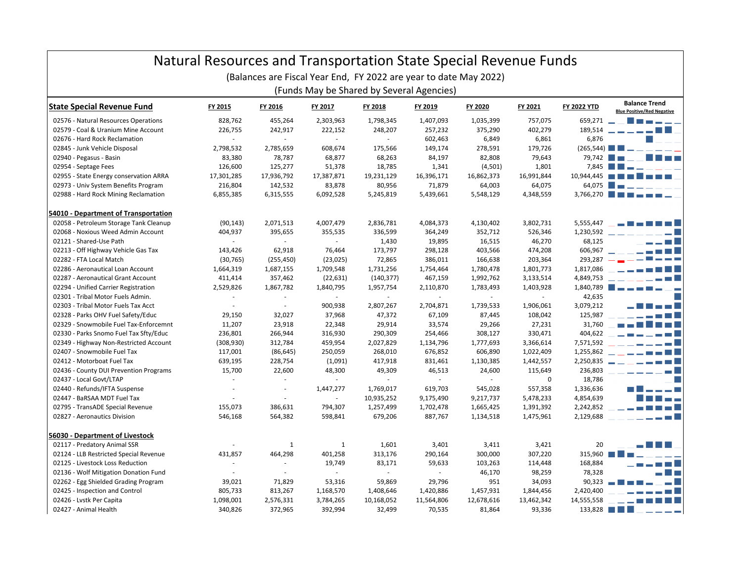|                                                                                                                | Natural Resources and Transportation State Special Revenue Funds |                |                             |            |               |            |             |                          |                                                           |
|----------------------------------------------------------------------------------------------------------------|------------------------------------------------------------------|----------------|-----------------------------|------------|---------------|------------|-------------|--------------------------|-----------------------------------------------------------|
| (Balances are Fiscal Year End, FY 2022 are year to date May 2022)<br>(Funds May be Shared by Several Agencies) |                                                                  |                |                             |            |               |            |             |                          |                                                           |
| <b>State Special Revenue Fund</b>                                                                              | FY 2015                                                          | FY 2016        | FY 2017                     | FY 2018    | FY 2019       | FY 2020    | FY 2021     | <b>FY 2022 YTD</b>       | <b>Balance Trend</b><br><b>Blue Positive/Red Negative</b> |
| 02576 - Natural Resources Operations                                                                           | 828.762                                                          | 455.264        | 2,303,963                   | 1,798,345  | 1,407,093     | 1,035,399  | 757,075     | 659,271 -                |                                                           |
| 02579 - Coal & Uranium Mine Account                                                                            | 226,755                                                          | 242,917        | 222,152                     | 248,207    | 257,232       | 375,290    | 402,279     | 189,514                  | _____ <b>_</b>                                            |
| 02676 - Hard Rock Reclamation                                                                                  | $\sim$                                                           | $\blacksquare$ | $\sim$                      | $\omega$   | 602,463       | 6,849      | 6,861       | 6.876                    |                                                           |
| 02845 - Junk Vehicle Disposal                                                                                  | 2,798,532                                                        | 2,785,659      | 608,674                     | 175,566    | 149,174       | 278,591    | 179,726     | (265,544)                |                                                           |
| 02940 - Pegasus - Basin                                                                                        | 83,380                                                           | 78,787         | 68,877                      | 68,263     | 84,197        | 82,808     | 79,643      | 79.742                   |                                                           |
| 02954 - Septage Fees                                                                                           | 126,600                                                          | 125,277        | 51,378                      | 18,785     | 1,341         | (4,501)    | 1,801       | 7.845                    |                                                           |
| 02955 - State Energy conservation ARRA                                                                         | 17,301,285                                                       | 17,936,792     | 17,387,871                  | 19,231,129 | 16,396,171    | 16,862,373 | 16,991,844  | 10.944.445               |                                                           |
| 02973 - Univ System Benefits Program                                                                           | 216,804                                                          | 142,532        | 83,878                      | 80,956     | 71,879        | 64,003     | 64,075      | 64,075                   |                                                           |
| 02988 - Hard Rock Mining Reclamation                                                                           | 6,855,385                                                        | 6,315,555      | 6,092,528                   | 5,245,819  | 5,439,661     | 5,548,129  | 4,348,559   |                          | $3,766,270$ $\Box$                                        |
| 54010 - Department of Transportation                                                                           |                                                                  |                |                             |            |               |            |             |                          |                                                           |
| 02058 - Petroleum Storage Tank Cleanup                                                                         | (90, 143)                                                        | 2,071,513      | 4,007,479                   | 2,836,781  | 4,084,373     | 4,130,402  | 3,802,731   | 5,555,447                |                                                           |
| 02068 - Noxious Weed Admin Account                                                                             | 404,937                                                          | 395,655        | 355,535                     | 336,599    | 364,249       | 352,712    | 526,346     | 1,230,592                |                                                           |
| 02121 - Shared-Use Path                                                                                        | $\sim$                                                           | $\sim$         | $\sim$                      | 1,430      | 19,895        | 16,515     | 46,270      | 68.125                   |                                                           |
| 02213 - Off Highway Vehicle Gas Tax                                                                            | 143,426                                                          | 62,918         | 76,464                      | 173,797    | 298,128       | 403,566    | 474,208     | 606,967                  |                                                           |
| 02282 - FTA Local Match                                                                                        | (30, 765)                                                        | (255, 450)     | (23, 025)                   | 72,865     | 386,011       | 166,638    | 203,364     | 293,287                  |                                                           |
| 02286 - Aeronautical Loan Account                                                                              | 1,664,319                                                        | 1,687,155      | 1,709,548                   | 1,731,256  | 1,754,464     | 1,780,478  | 1,801,773   | 1,817,086                |                                                           |
| 02287 - Aeronautical Grant Account                                                                             | 411,414                                                          | 357,462        | (22, 631)                   | (140, 377) | 467,159       | 1,992,762  | 3,133,514   | 4,849,753                |                                                           |
| 02294 - Unified Carrier Registration                                                                           | 2,529,826                                                        | 1,867,782      | 1,840,795                   | 1,957,754  | 2,110,870     | 1,783,493  | 1,403,928   | 1,840,789                |                                                           |
| 02301 - Tribal Motor Fuels Admin.                                                                              |                                                                  |                |                             |            | $\sim$        | $\sim$     | $\sim$      | 42,635                   |                                                           |
| 02303 - Tribal Motor Fuels Tax Acct                                                                            |                                                                  | $\sim$         | 900,938                     | 2,807,267  | 2,704,871     | 1,739,533  | 1,906,061   | 3,079,212                |                                                           |
| 02328 - Parks OHV Fuel Safety/Educ                                                                             | 29,150                                                           | 32,027         | 37,968                      | 47,372     | 67,109        | 87,445     | 108,042     | 125,987                  |                                                           |
| 02329 - Snowmobile Fuel Tax-Enforcemnt                                                                         | 11,207                                                           | 23,918         | 22,348                      | 29,914     | 33,574        | 29,266     | 27,231      | 31,760                   |                                                           |
| 02330 - Parks Snomo Fuel Tax Sfty/Educ                                                                         | 236,801                                                          | 266,944        | 316,930                     | 290,309    | 254,466       | 308,127    | 330,471     | 404,622                  |                                                           |
| 02349 - Highway Non-Restricted Account                                                                         | (308, 930)                                                       | 312,784        | 459,954                     | 2,027,829  | 1,134,796     | 1,777,693  | 3,366,614   | 7,571,592                |                                                           |
| 02407 - Snowmobile Fuel Tax                                                                                    | 117,001                                                          | (86, 645)      | 250,059                     | 268,010    | 676,852       | 606,890    | 1,022,409   | 1,255,862                |                                                           |
| 02412 - Motorboat Fuel Tax                                                                                     | 639,195                                                          | 228,754        | (1,091)                     | 417,918    | 831,461       | 1,130,385  | 1,442,557   | 2,250,835                |                                                           |
| 02436 - County DUI Prevention Programs                                                                         | 15,700                                                           | 22,600         | 48,300                      | 49,309     | 46,513        | 24,600     | 115,649     | 236,803                  |                                                           |
| 02437 - Local Govt/LTAP                                                                                        |                                                                  |                | $\mathcal{L}_{\mathcal{A}}$ | ÷.         | $\mathcal{L}$ | $\sim$     | $\mathbf 0$ | 18,786                   |                                                           |
| 02440 - Refunds/IFTA Suspense                                                                                  |                                                                  |                | 1,447,277                   | 1,769,017  | 619,703       | 545,028    | 557,358     | 1,336,636                |                                                           |
| 02447 - BaRSAA MDT Fuel Tax                                                                                    |                                                                  | $\sim$         | $\sim$                      | 10,935,252 | 9,175,490     | 9,217,737  | 5,478,233   | 4,854,639                |                                                           |
| 02795 - TransADE Special Revenue                                                                               | 155,073                                                          | 386,631        | 794,307                     | 1,257,499  | 1,702,478     | 1,665,425  | 1,391,392   | 2,242,852                |                                                           |
| 02827 - Aeronautics Division                                                                                   | 546,168                                                          | 564,382        | 598,841                     | 679,206    | 887,767       | 1,134,518  | 1,475,961   | 2,129,688                |                                                           |
| 56030 - Department of Livestock                                                                                |                                                                  |                |                             |            |               |            |             |                          |                                                           |
| 02117 - Predatory Animal SSR                                                                                   |                                                                  | 1              | 1                           | 1,601      | 3,401         | 3,411      | 3,421       | 20                       |                                                           |
| 02124 - LLB Restricted Special Revenue                                                                         | 431,857                                                          | 464,298        | 401,258                     | 313,176    | 290,164       | 300,000    | 307,220     | 315,960                  |                                                           |
| 02125 - Livestock Loss Reduction                                                                               |                                                                  | $\sim$         | 19,749                      | 83,171     | 59,633        | 103,263    | 114,448     | 168,884                  |                                                           |
| 02136 - Wolf Mitigation Donation Fund                                                                          |                                                                  |                |                             |            | in 19         | 46,170     | 98,259      | 78,328                   |                                                           |
| 02262 - Egg Shielded Grading Program                                                                           | 39,021                                                           | 71,829         | 53,316                      | 59,869     | 29,796        | 951        | 34,093      | 90,323                   |                                                           |
| 02425 - Inspection and Control                                                                                 | 805,733                                                          | 813,267        | 1,168,570                   | 1,408,646  | 1,420,886     | 1,457,931  | 1,844,456   | 2,420,400                |                                                           |
| 02426 - Lvstk Per Capita                                                                                       | 1,098,001                                                        | 2,576,331      | 3,784,265                   | 10,168,052 | 11,564,806    | 12,678,616 | 13,462,342  | 14,555,558               |                                                           |
| 02427 - Animal Health                                                                                          | 340,826                                                          | 372,965        | 392,994                     | 32,499     | 70,535        | 81,864     | 93,336      | $133,828$ $\blacksquare$ |                                                           |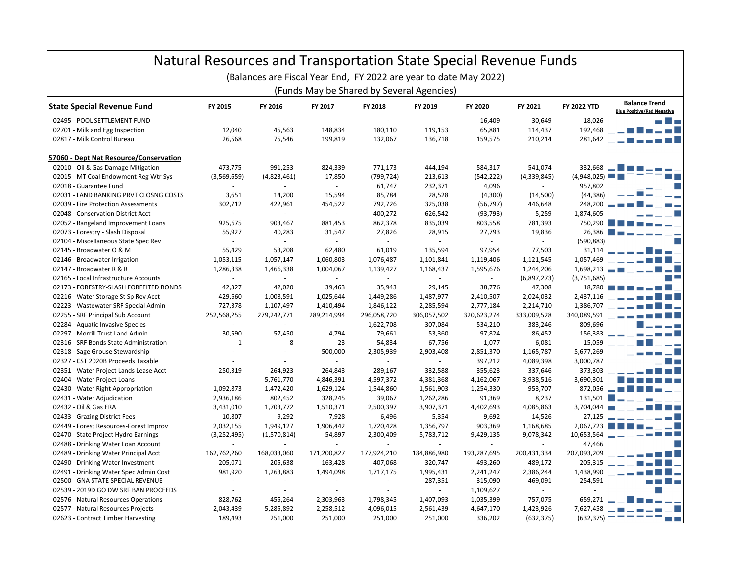| Natural Resources and Transportation State Special Revenue Funds<br>(Balances are Fiscal Year End, FY 2022 are year to date May 2022)<br>(Funds May be Shared by Several Agencies) |                          |             |                             |                |                |                          |                          |                    |                                                           |
|------------------------------------------------------------------------------------------------------------------------------------------------------------------------------------|--------------------------|-------------|-----------------------------|----------------|----------------|--------------------------|--------------------------|--------------------|-----------------------------------------------------------|
| <b>State Special Revenue Fund</b>                                                                                                                                                  | FY 2015                  | FY 2016     | FY 2017                     | FY 2018        | FY 2019        | FY 2020                  | FY 2021                  | <b>FY 2022 YTD</b> | <b>Balance Trend</b><br><b>Blue Positive/Red Negative</b> |
| 02495 - POOL SETTLEMENT FUND                                                                                                                                                       | ÷.                       | $\sim$      | ÷.                          | ÷.             | $\sim$         | 16,409                   | 30,649                   | 18,026             |                                                           |
| 02701 - Milk and Egg Inspection                                                                                                                                                    | 12,040                   | 45,563      | 148,834                     | 180,110        | 119,153        | 65,881                   | 114,437                  | 192,468            |                                                           |
| 02817 - Milk Control Bureau                                                                                                                                                        | 26,568                   | 75,546      | 199,819                     | 132,067        | 136,718        | 159,575                  | 210,214                  | 281,642            |                                                           |
| 57060 - Dept Nat Resource/Conservation                                                                                                                                             |                          |             |                             |                |                |                          |                          |                    |                                                           |
| 02010 - Oil & Gas Damage Mitigation                                                                                                                                                | 473,775                  | 991,253     | 824,339                     | 771,173        | 444,194        | 584,317                  | 541,074                  | 332,668            |                                                           |
| 02015 - MT Coal Endowment Reg Wtr Sys                                                                                                                                              | (3,569,659)              | (4,823,461) | 17,850                      | (799, 724)     | 213,613        | (542, 222)               | (4,339,845)              | (4,948,025)        |                                                           |
| 02018 - Guarantee Fund                                                                                                                                                             |                          |             | $\sim$                      | 61,747         | 232,371        | 4,096                    |                          | 957,802            |                                                           |
| 02031 - LAND BANKING PRVT CLOSNG COSTS                                                                                                                                             | 3,651                    | 14,200      | 15,594                      | 85,784         | 28,528         | (4,300)                  | (14,500)                 | (44, 386)          |                                                           |
| 02039 - Fire Protection Assessments                                                                                                                                                | 302,712                  | 422,961     | 454,522                     | 792,726        | 325,038        | (56, 797)                | 446,648                  | 248,200            |                                                           |
| 02048 - Conservation District Acct                                                                                                                                                 | $\sim$                   | $\sim$      | $\sim$                      | 400,272        | 626,542        | (93, 793)                | 5,259                    | 1,874,605          |                                                           |
| 02052 - Rangeland Improvement Loans                                                                                                                                                | 925,675                  | 903,467     | 881,453                     | 862,378        | 835,039        | 803,558                  | 781,393                  | 750,290            |                                                           |
| 02073 - Forestry - Slash Disposal                                                                                                                                                  | 55,927                   | 40,283      | 31,547                      | 27,826         | 28,915         | 27,793                   | 19,836                   | 26,386             |                                                           |
| 02104 - Miscellaneous State Spec Rev                                                                                                                                               | $\blacksquare$           | $\sim$      | $\sim$                      | $\sim$         | $\sim$         | $\sim$                   | $\overline{\phantom{a}}$ | (590, 883)         |                                                           |
| 02145 - Broadwater O & M                                                                                                                                                           | 55,429                   | 53,208      | 62,480                      | 61,019         | 135,594        | 97,954                   | 77,503                   | 31,114             |                                                           |
| 02146 - Broadwater Irrigation                                                                                                                                                      | 1,053,115                | 1,057,147   | 1,060,803                   | 1,076,487      | 1,101,841      | 1,119,406                | 1,121,545                | 1,057,469          |                                                           |
| 02147 - Broadwater R & R                                                                                                                                                           | 1,286,338                | 1,466,338   | 1,004,067                   | 1,139,427      | 1,168,437      | 1,595,676                | 1,244,206                | 1,698,213          |                                                           |
| 02165 - Local Infrastructure Accounts                                                                                                                                              | $\blacksquare$           | $\sim$      | $\mathcal{L}_{\mathcal{A}}$ | $\blacksquare$ | $\blacksquare$ | $\overline{\phantom{a}}$ | (6,897,273)              | (3,751,685)        |                                                           |
| 02173 - FORESTRY-SLASH FORFEITED BONDS                                                                                                                                             | 42,327                   | 42,020      | 39,463                      | 35,943         | 29,145         | 38,776                   | 47,308                   | 18,780             |                                                           |
| 02216 - Water Storage St Sp Rev Acct                                                                                                                                               | 429,660                  | 1,008,591   | 1,025,644                   | 1,449,286      | 1,487,977      | 2,410,507                | 2,024,032                | 2,437,116          |                                                           |
| 02223 - Wastewater SRF Special Admin                                                                                                                                               | 727,378                  | 1,107,497   | 1,410,494                   | 1,846,122      | 2,285,594      | 2,777,184                | 2,214,710                | 1,386,707          |                                                           |
| 02255 - SRF Principal Sub Account                                                                                                                                                  | 252,568,255              | 279,242,771 | 289,214,994                 | 296,058,720    | 306,057,502    | 320,623,274              | 333,009,528              | 340,089,591        |                                                           |
| 02284 - Aquatic Invasive Species                                                                                                                                                   | $\mathbf{r}$             |             | $\sim$                      | 1,622,708      | 307,084        | 534,210                  | 383,246                  | 809,696            |                                                           |
| 02297 - Morrill Trust Land Admin                                                                                                                                                   | 30,590                   | 57,450      | 4,794                       | 79,661         | 53,360         | 97,824                   | 86,452                   | 156,383            |                                                           |
| 02316 - SRF Bonds State Administration                                                                                                                                             | $\mathbf{1}$             | 8           | 23                          | 54,834         | 67,756         | 1,077                    | 6,081                    | 15,059             |                                                           |
| 02318 - Sage Grouse Stewardship                                                                                                                                                    | ÷.                       |             | 500,000                     | 2,305,939      | 2,903,408      | 2,851,370                | 1,165,787                | 5,677,269          |                                                           |
| 02327 - CST 2020B Proceeds Taxable                                                                                                                                                 |                          |             |                             | ÷.             |                | 397,212                  | 4,089,398                | 3,000,787          |                                                           |
| 02351 - Water Project Lands Lease Acct                                                                                                                                             | 250,319                  | 264,923     | 264,843                     | 289,167        | 332,588        | 355,623                  | 337,646                  | 373,303            |                                                           |
| 02404 - Water Project Loans                                                                                                                                                        | $\overline{\phantom{a}}$ | 5,761,770   | 4,846,391                   | 4,597,372      | 4,381,368      | 4,162,067                | 3,938,516                | 3,690,301          |                                                           |
| 02430 - Water Right Appropriation                                                                                                                                                  | 1,092,873                | 1,472,420   | 1,629,124                   | 1,544,860      | 1,561,903      | 1,254,330                | 953,707                  | 872,056            | — ELLER                                                   |
| 02431 - Water Adjudication                                                                                                                                                         | 2,936,186                | 802,452     | 328,245                     | 39,067         | 1,262,286      | 91,369                   | 8,237                    | 131,501            |                                                           |
| 02432 - Oil & Gas ERA                                                                                                                                                              | 3,431,010                | 1,703,772   | 1,510,371                   | 2,500,397      | 3,907,371      | 4,402,693                | 4,085,863                | 3,704,044          |                                                           |
| 02433 - Grazing District Fees                                                                                                                                                      | 10,807                   | 9,292       | 7,928                       | 6,496          | 5,354          | 9,692                    | 14,526                   | 27,125             |                                                           |
| 02449 - Forest Resources-Forest Improv                                                                                                                                             | 2,032,155                | 1,949,127   | 1,906,442                   | 1,720,428      | 1,356,797      | 903,369                  | 1,168,685                | 2,067,723          |                                                           |
| 02470 - State Project Hydro Earnings                                                                                                                                               | (3,252,495)              | (1,570,814) | 54,897                      | 2,300,409      | 5,783,712      | 9,429,135                | 9,078,342                | 10,653,564         |                                                           |
| 02488 - Drinking Water Loan Account                                                                                                                                                | $\mathbf{r}$             | $\sim$      | ×.                          | ÷.             | $\mathcal{L}$  | $\sim$                   | ÷.                       | 47,466             |                                                           |
| 02489 - Drinking Water Principal Acct                                                                                                                                              | 162,762,260              | 168,033,060 | 171,200,827                 | 177,924,210    | 184,886,980    | 193,287,695              | 200,431,334              | 207,093,209        |                                                           |
| 02490 - Drinking Water Investment                                                                                                                                                  | 205,071                  | 205,638     | 163,428                     | 407,068        | 320,747        | 493,260                  | 489,172                  | 205,315            |                                                           |
| 02491 - Drinking Water Spec Admin Cost                                                                                                                                             | 981,920                  | 1,263,883   | 1,494,098                   | 1,717,175      | 1,995,431      | 2,241,247                | 2,386,244                | 1,438,990          |                                                           |
| 02500 - GNA STATE SPECIAL REVENUE                                                                                                                                                  | $\overline{\phantom{a}}$ |             | $\overline{\phantom{a}}$    | ÷,             | 287,351        | 315,090                  | 469,091                  | 254,591            |                                                           |
| 02539 - 2019D GO DW SRF BAN PROCEEDS                                                                                                                                               | ÷.                       |             |                             | ×.             | $\sim$         | 1,109,627                | ÷,                       |                    |                                                           |
| 02576 - Natural Resources Operations                                                                                                                                               | 828,762                  | 455,264     | 2,303,963                   | 1,798,345      | 1,407,093      | 1,035,399                | 757,075                  | 659,271            |                                                           |
| 02577 - Natural Resources Projects                                                                                                                                                 | 2,043,439                | 5,285,892   | 2,258,512                   | 4,096,015      | 2,561,439      | 4,647,170                | 1,423,926                | 7,627,458          |                                                           |
| 02623 - Contract Timber Harvesting                                                                                                                                                 | 189,493                  | 251,000     | 251,000                     | 251,000        | 251,000        | 336,202                  | (632, 375)               | (632, 375)         |                                                           |